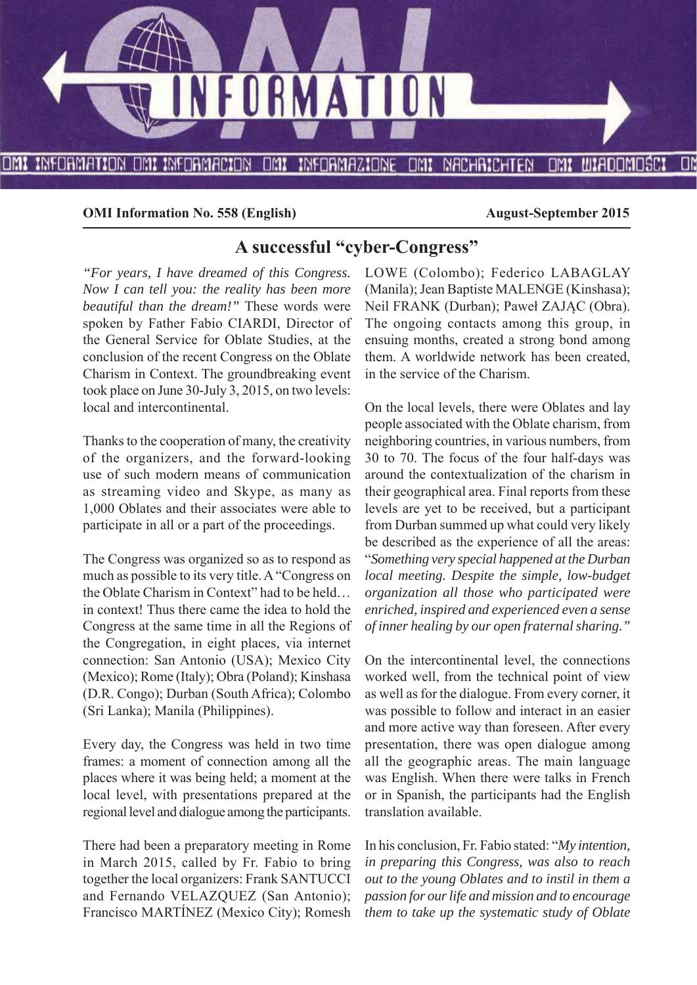

**OMI Information No. 558 (English)** August-September 2015

# **A successful "cyber-Congress"**

*"For years, I have dreamed of this Congress. Now I can tell you: the reality has been more beautiful than the dream!"* These words were spoken by Father Fabio CIARDI, Director of the General Service for Oblate Studies, at the conclusion of the recent Congress on the Oblate Charism in Context. The groundbreaking event took place on June 30-July 3, 2015, on two levels: local and intercontinental.

Thanks to the cooperation of many, the creativity of the organizers, and the forward-looking use of such modern means of communication as streaming video and Skype, as many as 1,000 Oblates and their associates were able to participate in all or a part of the proceedings.

The Congress was organized so as to respond as much as possible to its very title. A "Congress on the Oblate Charism in Context" had to be held… in context! Thus there came the idea to hold the Congress at the same time in all the Regions of the Congregation, in eight places, via internet connection: San Antonio (USA); Mexico City (Mexico); Rome (Italy); Obra (Poland); Kinshasa (D.R. Congo); Durban (South Africa); Colombo (Sri Lanka); Manila (Philippines).

Every day, the Congress was held in two time frames: a moment of connection among all the places where it was being held; a moment at the local level, with presentations prepared at the regional level and dialogue among the participants.

There had been a preparatory meeting in Rome in March 2015, called by Fr. Fabio to bring together the local organizers: Frank SANTUCCI and Fernando VELAZQUEZ (San Antonio); Francisco MARTÍNEZ (Mexico City); Romesh

LOWE (Colombo); Federico LABAGLAY (Manila); Jean Baptiste MALENGE (Kinshasa); Neil FRANK (Durban); Paweł ZAJĄC (Obra). The ongoing contacts among this group, in ensuing months, created a strong bond among them. A worldwide network has been created, in the service of the Charism.

On the local levels, there were Oblates and lay people associated with the Oblate charism, from neighboring countries, in various numbers, from 30 to 70. The focus of the four half-days was around the contextualization of the charism in their geographical area. Final reports from these levels are yet to be received, but a participant from Durban summed up what could very likely be described as the experience of all the areas: "*Something very special happened at the Durban local meeting. Despite the simple, low-budget organization all those who participated were enriched, inspired and experienced even a sense of inner healing by our open fraternal sharing."*

On the intercontinental level, the connections worked well, from the technical point of view as well as for the dialogue. From every corner, it was possible to follow and interact in an easier and more active way than foreseen. After every presentation, there was open dialogue among all the geographic areas. The main language was English. When there were talks in French or in Spanish, the participants had the English translation available.

In his conclusion, Fr. Fabio stated: "*My intention, in preparing this Congress, was also to reach out to the young Oblates and to instil in them a passion for our life and mission and to encourage them to take up the systematic study of Oblate*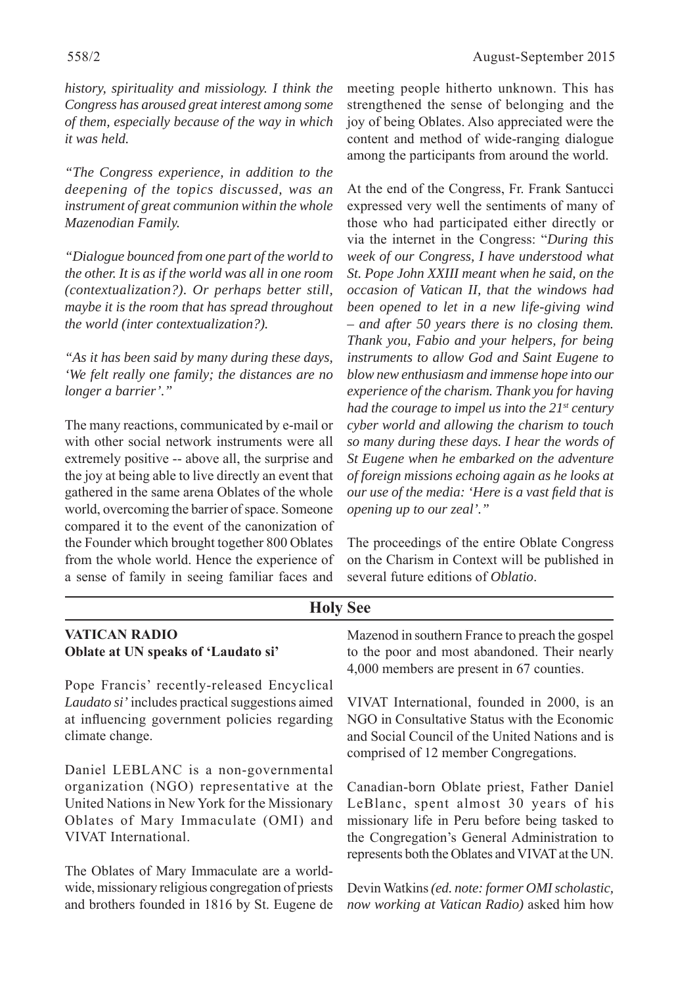*history, spirituality and missiology. I think the Congress has aroused great interest among some of them, especially because of the way in which it was held.* 

*"The Congress experience, in addition to the deepening of the topics discussed, was an instrument of great communion within the whole Mazenodian Family.*

*"Dialogue bounced from one part of the world to the other. It is as if the world was all in one room (contextualization?). Or perhaps better still, maybe it is the room that has spread throughout the world (inter contextualization?).*

*"As it has been said by many during these days, 'We felt really one family; the distances are no longer a barrier'."*

The many reactions, communicated by e-mail or with other social network instruments were all extremely positive -- above all, the surprise and the joy at being able to live directly an event that gathered in the same arena Oblates of the whole world, overcoming the barrier of space. Someone compared it to the event of the canonization of the Founder which brought together 800 Oblates from the whole world. Hence the experience of a sense of family in seeing familiar faces and

meeting people hitherto unknown. This has strengthened the sense of belonging and the joy of being Oblates. Also appreciated were the content and method of wide-ranging dialogue among the participants from around the world.

At the end of the Congress, Fr. Frank Santucci expressed very well the sentiments of many of those who had participated either directly or via the internet in the Congress: "*During this week of our Congress, I have understood what St. Pope John XXIII meant when he said, on the occasion of Vatican II, that the windows had been opened to let in a new life-giving wind – and after 50 years there is no closing them. Thank you, Fabio and your helpers, for being instruments to allow God and Saint Eugene to blow new enthusiasm and immense hope into our experience of the charism. Thank you for having had the courage to impel us into the 21st century cyber world and allowing the charism to touch so many during these days. I hear the words of St Eugene when he embarked on the adventure of foreign missions echoing again as he looks at our use of the media: 'Here is a vast field that is opening up to our zeal'."*

The proceedings of the entire Oblate Congress on the Charism in Context will be published in several future editions of *Oblatio*.

| <b>Holy See</b>                                                                                                                                                                                   |                                                                                                                                                                                                                                           |  |  |  |
|---------------------------------------------------------------------------------------------------------------------------------------------------------------------------------------------------|-------------------------------------------------------------------------------------------------------------------------------------------------------------------------------------------------------------------------------------------|--|--|--|
| <b>VATICAN RADIO</b><br>Oblate at UN speaks of 'Laudato si'                                                                                                                                       | Mazenod in southern France to preach the gospel<br>to the poor and most abandoned. Their nearly<br>4,000 members are present in 67 counties.                                                                                              |  |  |  |
| Pope Francis' recently-released Encyclical<br>Laudato si' includes practical suggestions aimed<br>at influencing government policies regarding<br>climate change.                                 | VIVAT International, founded in 2000, is an<br>NGO in Consultative Status with the Economic<br>and Social Council of the United Nations and is<br>comprised of 12 member Congregations.                                                   |  |  |  |
| Daniel LEBLANC is a non-governmental<br>organization (NGO) representative at the<br>United Nations in New York for the Missionary<br>Oblates of Mary Immaculate (OMI) and<br>VIVAT International. | Canadian-born Oblate priest, Father Daniel<br>LeBlanc, spent almost 30 years of his<br>missionary life in Peru before being tasked to<br>the Congregation's General Administration to<br>represents both the Oblates and VIVAT at the UN. |  |  |  |
| The Oblates of Mary Immaculate are a world-<br>wide, missionary religious congregation of priests<br>and brothers founded in 1816 by St. Eugene de                                                | Devin Watkins (ed. note: former OMI scholastic,<br>now working at Vatican Radio) asked him how                                                                                                                                            |  |  |  |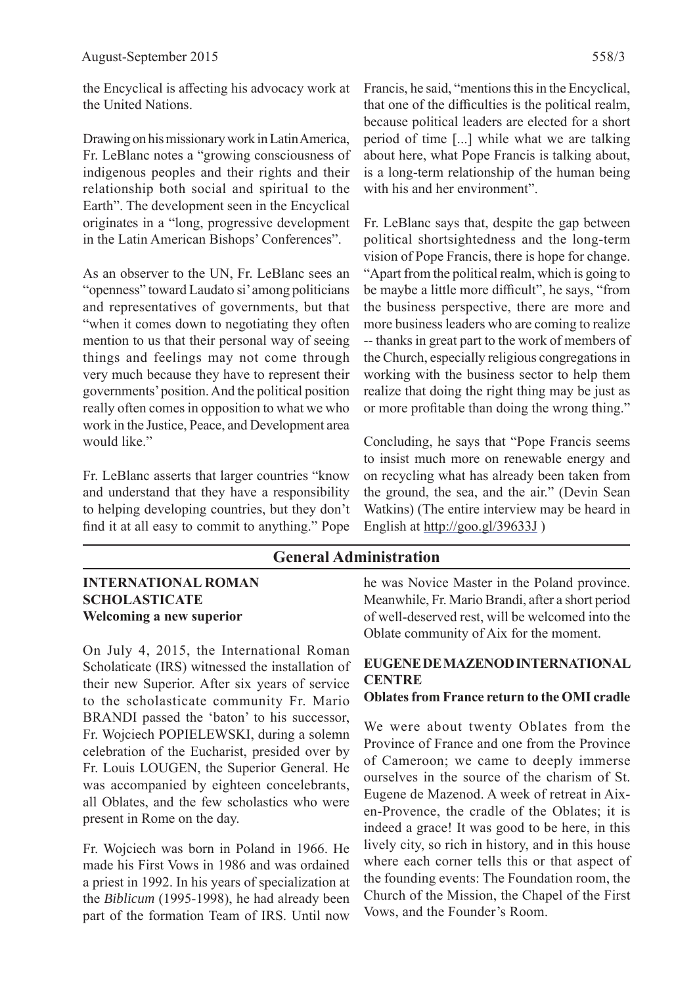the Encyclical is affecting his advocacy work at the United Nations.

Drawing on his missionary work in Latin America, Fr. LeBlanc notes a "growing consciousness of indigenous peoples and their rights and their relationship both social and spiritual to the Earth". The development seen in the Encyclical originates in a "long, progressive development in the Latin American Bishops' Conferences".

As an observer to the UN, Fr. LeBlanc sees an "openness" toward Laudato si' among politicians and representatives of governments, but that "when it comes down to negotiating they often mention to us that their personal way of seeing things and feelings may not come through very much because they have to represent their governments' position. And the political position really often comes in opposition to what we who work in the Justice, Peace, and Development area would like."

Fr. LeBlanc asserts that larger countries "know and understand that they have a responsibility to helping developing countries, but they don't find it at all easy to commit to anything." Pope Francis, he said, "mentions this in the Encyclical, that one of the difficulties is the political realm, because political leaders are elected for a short period of time [...] while what we are talking about here, what Pope Francis is talking about, is a long-term relationship of the human being with his and her environment".

Fr. LeBlanc says that, despite the gap between political shortsightedness and the long-term vision of Pope Francis, there is hope for change. "Apart from the political realm, which is going to be maybe a little more difficult", he says, "from the business perspective, there are more and more business leaders who are coming to realize -- thanks in great part to the work of members of the Church, especially religious congregations in working with the business sector to help them realize that doing the right thing may be just as or more profitable than doing the wrong thing."

Concluding, he says that "Pope Francis seems to insist much more on renewable energy and on recycling what has already been taken from the ground, the sea, and the air." (Devin Sean Watkins) (The entire interview may be heard in English at http://goo.gl/39633J )

## **General Administration**

#### **INTERNATIONAL ROMAN SCHOLASTICATE Welcoming a new superior**

On July 4, 2015, the International Roman Scholaticate (IRS) witnessed the installation of their new Superior. After six years of service to the scholasticate community Fr. Mario BRANDI passed the 'baton' to his successor, Fr. Wojciech POPIELEWSKI, during a solemn celebration of the Eucharist, presided over by Fr. Louis LOUGEN, the Superior General. He was accompanied by eighteen concelebrants, all Oblates, and the few scholastics who were present in Rome on the day.

Fr. Wojciech was born in Poland in 1966. He made his First Vows in 1986 and was ordained a priest in 1992. In his years of specialization at the *Biblicum* (1995-1998), he had already been part of the formation Team of IRS. Until now

he was Novice Master in the Poland province. Meanwhile, Fr. Mario Brandi, after a short period of well-deserved rest, will be welcomed into the Oblate community of Aix for the moment.

## **EUGENE DE MAZENOD INTERNATIONAL CENTRE**

#### **Oblates from France return to the OMI cradle**

We were about twenty Oblates from the Province of France and one from the Province of Cameroon; we came to deeply immerse ourselves in the source of the charism of St. Eugene de Mazenod. A week of retreat in Aixen-Provence, the cradle of the Oblates; it is indeed a grace! It was good to be here, in this lively city, so rich in history, and in this house where each corner tells this or that aspect of the founding events: The Foundation room, the Church of the Mission, the Chapel of the First Vows, and the Founder's Room.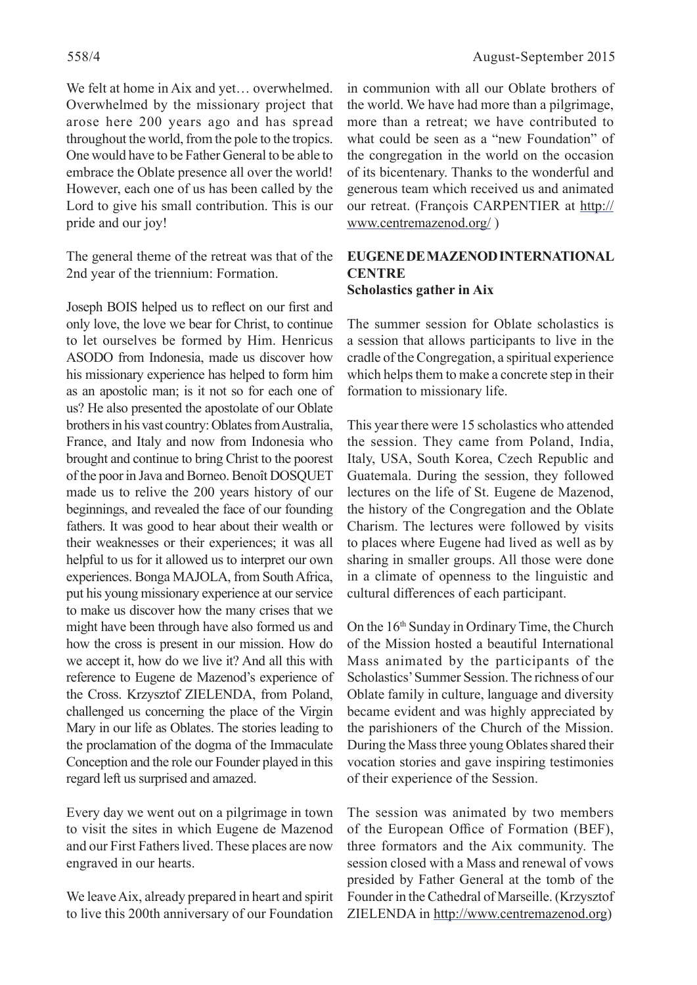We felt at home in Aix and yet… overwhelmed. Overwhelmed by the missionary project that arose here 200 years ago and has spread throughout the world, from the pole to the tropics. One would have to be Father General to be able to embrace the Oblate presence all over the world! However, each one of us has been called by the Lord to give his small contribution. This is our pride and our joy!

The general theme of the retreat was that of the 2nd year of the triennium: Formation.

Joseph BOIS helped us to reflect on our first and only love, the love we bear for Christ, to continue to let ourselves be formed by Him. Henricus ASODO from Indonesia, made us discover how his missionary experience has helped to form him as an apostolic man; is it not so for each one of us? He also presented the apostolate of our Oblate brothers in his vast country: Oblates from Australia, France, and Italy and now from Indonesia who brought and continue to bring Christ to the poorest of the poor in Java and Borneo. Benoît DOSQUET made us to relive the 200 years history of our beginnings, and revealed the face of our founding fathers. It was good to hear about their wealth or their weaknesses or their experiences; it was all helpful to us for it allowed us to interpret our own experiences. Bonga MAJOLA, from South Africa, put his young missionary experience at our service to make us discover how the many crises that we might have been through have also formed us and how the cross is present in our mission. How do we accept it, how do we live it? And all this with reference to Eugene de Mazenod's experience of the Cross. Krzysztof ZIELENDA, from Poland, challenged us concerning the place of the Virgin Mary in our life as Oblates. The stories leading to the proclamation of the dogma of the Immaculate Conception and the role our Founder played in this regard left us surprised and amazed.

Every day we went out on a pilgrimage in town to visit the sites in which Eugene de Mazenod and our First Fathers lived. These places are now engraved in our hearts.

We leave Aix, already prepared in heart and spirit to live this 200th anniversary of our Foundation

in communion with all our Oblate brothers of the world. We have had more than a pilgrimage, more than a retreat; we have contributed to what could be seen as a "new Foundation" of the congregation in the world on the occasion of its bicentenary. Thanks to the wonderful and generous team which received us and animated our retreat. (François CARPENTIER at http:// www.centremazenod.org/ )

#### **EUGENE DE MAZENOD INTERNATIONAL CENTRE Scholastics gather in Aix**

The summer session for Oblate scholastics is a session that allows participants to live in the cradle of the Congregation, a spiritual experience which helps them to make a concrete step in their formation to missionary life.

This year there were 15 scholastics who attended the session. They came from Poland, India, Italy, USA, South Korea, Czech Republic and Guatemala. During the session, they followed lectures on the life of St. Eugene de Mazenod, the history of the Congregation and the Oblate Charism. The lectures were followed by visits to places where Eugene had lived as well as by sharing in smaller groups. All those were done in a climate of openness to the linguistic and cultural differences of each participant.

On the 16<sup>th</sup> Sunday in Ordinary Time, the Church of the Mission hosted a beautiful International Mass animated by the participants of the Scholastics' Summer Session. The richness of our Oblate family in culture, language and diversity became evident and was highly appreciated by the parishioners of the Church of the Mission. During the Mass three young Oblates shared their vocation stories and gave inspiring testimonies of their experience of the Session.

The session was animated by two members of the European Office of Formation (BEF), three formators and the Aix community. The session closed with a Mass and renewal of vows presided by Father General at the tomb of the Founder in the Cathedral of Marseille. (Krzysztof ZIELENDA in http://www.centremazenod.org)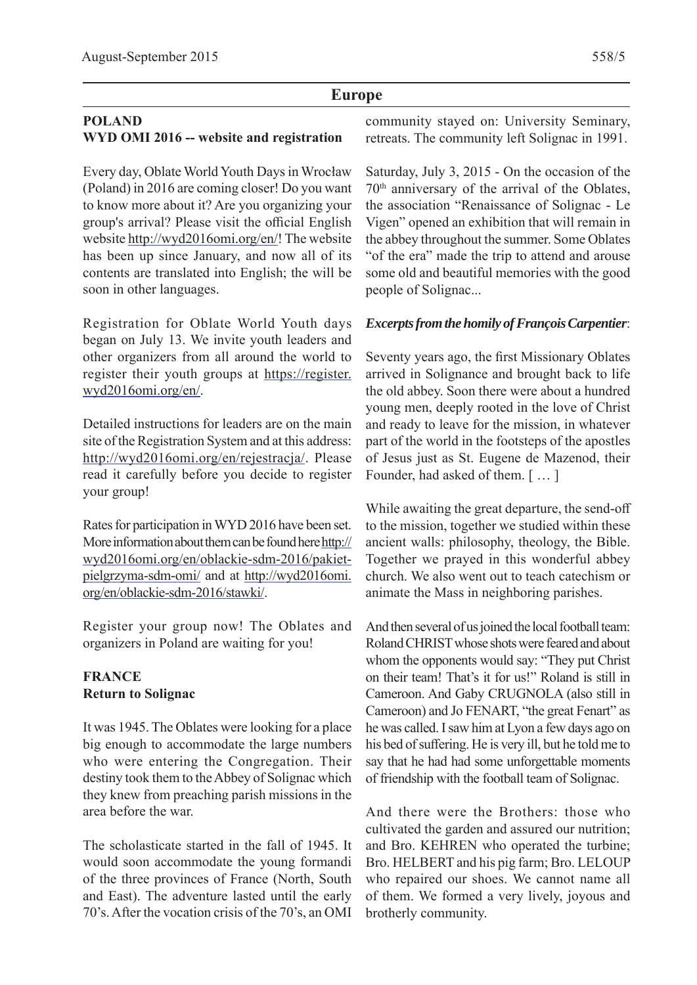## **Europe**

## **POLAND WYD OMI 2016 -- website and registration**

Every day, Oblate World Youth Days in Wrocław (Poland) in 2016 are coming closer! Do you want to know more about it? Are you organizing your group's arrival? Please visit the official English website http://wyd2016omi.org/en/! The website has been up since January, and now all of its contents are translated into English; the will be soon in other languages.

Registration for Oblate World Youth days began on July 13. We invite youth leaders and other organizers from all around the world to register their youth groups at https://register. wyd2016omi.org/en/.

Detailed instructions for leaders are on the main site of the Registration System and at this address: http://wyd2016omi.org/en/rejestracja/. Please read it carefully before you decide to register your group!

Rates for participation in WYD 2016 have been set. More information about them can be found here http:// wyd2016omi.org/en/oblackie-sdm-2016/pakietpielgrzyma-sdm-omi/ and at http://wyd2016omi. org/en/oblackie-sdm-2016/stawki/.

Register your group now! The Oblates and organizers in Poland are waiting for you!

## **FRANCE Return to Solignac**

It was 1945. The Oblates were looking for a place big enough to accommodate the large numbers who were entering the Congregation. Their destiny took them to the Abbey of Solignac which they knew from preaching parish missions in the area before the war.

The scholasticate started in the fall of 1945. It would soon accommodate the young formandi of the three provinces of France (North, South and East). The adventure lasted until the early 70's. After the vocation crisis of the 70's, an OMI community stayed on: University Seminary, retreats. The community left Solignac in 1991.

Saturday, July 3, 2015 - On the occasion of the 70th anniversary of the arrival of the Oblates, the association "Renaissance of Solignac - Le Vigen" opened an exhibition that will remain in the abbey throughout the summer. Some Oblates "of the era" made the trip to attend and arouse some old and beautiful memories with the good people of Solignac...

## *Excerpts from the homily of François Carpentier:*

Seventy years ago, the first Missionary Oblates arrived in Solignance and brought back to life the old abbey. Soon there were about a hundred young men, deeply rooted in the love of Christ and ready to leave for the mission, in whatever part of the world in the footsteps of the apostles of Jesus just as St. Eugene de Mazenod, their Founder, had asked of them. [ … ]

While awaiting the great departure, the send-off to the mission, together we studied within these ancient walls: philosophy, theology, the Bible. Together we prayed in this wonderful abbey church. We also went out to teach catechism or animate the Mass in neighboring parishes.

And then several of us joined the local football team: Roland CHRIST whose shots were feared and about whom the opponents would say: "They put Christ on their team! That's it for us!" Roland is still in Cameroon. And Gaby CRUGNOLA (also still in Cameroon) and Jo FENART, "the great Fenart" as he was called. I saw him at Lyon a few days ago on his bed of suffering. He is very ill, but he told me to say that he had had some unforgettable moments of friendship with the football team of Solignac.

And there were the Brothers: those who cultivated the garden and assured our nutrition; and Bro. KEHREN who operated the turbine; Bro. HELBERT and his pig farm; Bro. LELOUP who repaired our shoes. We cannot name all of them. We formed a very lively, joyous and brotherly community.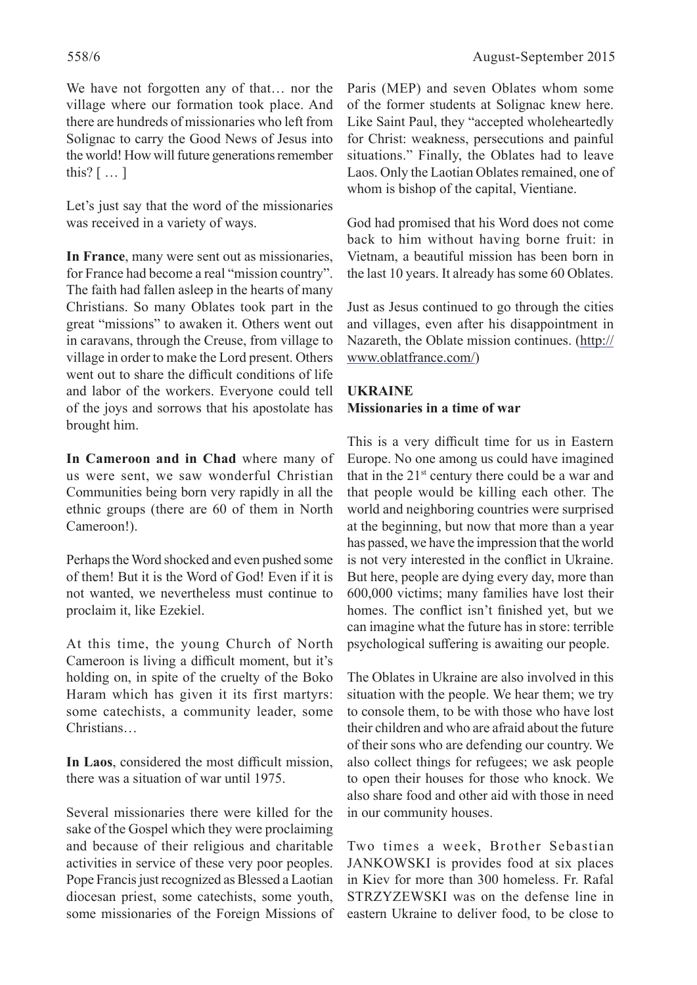We have not forgotten any of that… nor the village where our formation took place. And there are hundreds of missionaries who left from Solignac to carry the Good News of Jesus into the world! How will future generations remember this?  $[\,\dots\,]$ 

Let's just say that the word of the missionaries was received in a variety of ways.

**In France**, many were sent out as missionaries, for France had become a real "mission country". The faith had fallen asleep in the hearts of many Christians. So many Oblates took part in the great "missions" to awaken it. Others went out in caravans, through the Creuse, from village to village in order to make the Lord present. Others went out to share the difficult conditions of life and labor of the workers. Everyone could tell of the joys and sorrows that his apostolate has brought him.

**In Cameroon and in Chad** where many of us were sent, we saw wonderful Christian Communities being born very rapidly in all the ethnic groups (there are 60 of them in North Cameroon!).

Perhaps the Word shocked and even pushed some of them! But it is the Word of God! Even if it is not wanted, we nevertheless must continue to proclaim it, like Ezekiel.

At this time, the young Church of North Cameroon is living a difficult moment, but it's holding on, in spite of the cruelty of the Boko Haram which has given it its first martyrs: some catechists, a community leader, some Christians…

In Laos, considered the most difficult mission, there was a situation of war until 1975.

Several missionaries there were killed for the sake of the Gospel which they were proclaiming and because of their religious and charitable activities in service of these very poor peoples. Pope Francis just recognized as Blessed a Laotian diocesan priest, some catechists, some youth, some missionaries of the Foreign Missions of Paris (MEP) and seven Oblates whom some of the former students at Solignac knew here. Like Saint Paul, they "accepted wholeheartedly for Christ: weakness, persecutions and painful situations." Finally, the Oblates had to leave Laos. Only the Laotian Oblates remained, one of whom is bishop of the capital, Vientiane.

God had promised that his Word does not come back to him without having borne fruit: in Vietnam, a beautiful mission has been born in the last 10 years. It already has some 60 Oblates.

Just as Jesus continued to go through the cities and villages, even after his disappointment in Nazareth, the Oblate mission continues. (http:// www.oblatfrance.com/)

## **UKRAINE Missionaries in a time of war**

This is a very difficult time for us in Eastern Europe. No one among us could have imagined that in the  $21^{st}$  century there could be a war and that people would be killing each other. The world and neighboring countries were surprised at the beginning, but now that more than a year has passed, we have the impression that the world is not very interested in the conflict in Ukraine. But here, people are dying every day, more than 600,000 victims; many families have lost their homes. The conflict isn't finished yet, but we can imagine what the future has in store: terrible psychological suffering is awaiting our people.

The Oblates in Ukraine are also involved in this situation with the people. We hear them; we try to console them, to be with those who have lost their children and who are afraid about the future of their sons who are defending our country. We also collect things for refugees; we ask people to open their houses for those who knock. We also share food and other aid with those in need in our community houses.

Two times a week, Brother Sebastian JANKOWSKI is provides food at six places in Kiev for more than 300 homeless. Fr. Rafal STRZYZEWSKI was on the defense line in eastern Ukraine to deliver food, to be close to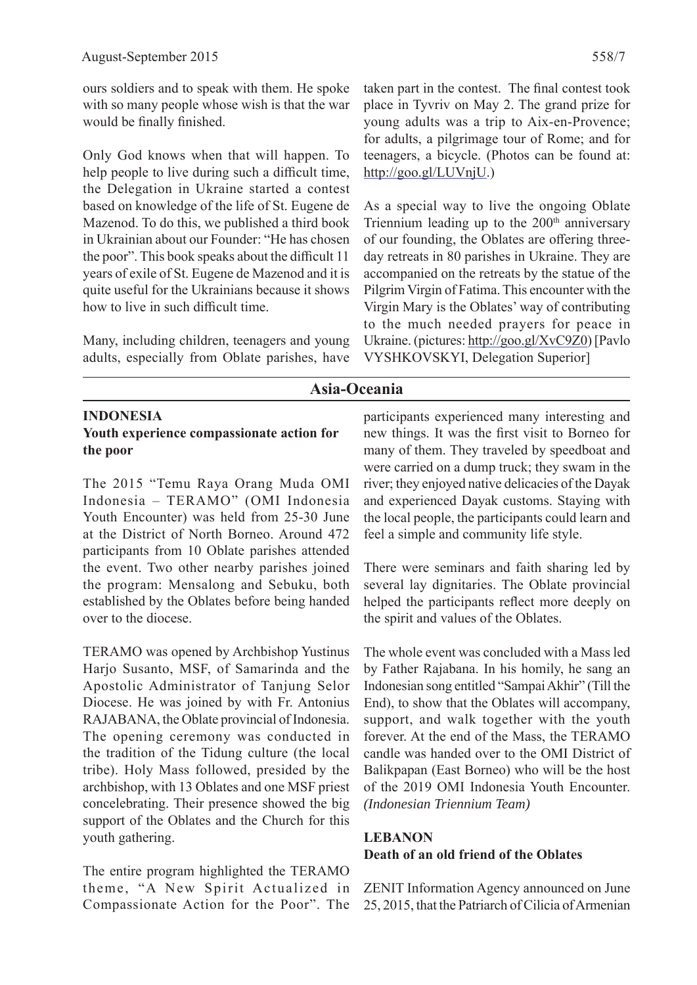ours soldiers and to speak with them. He spoke with so many people whose wish is that the war would be finally finished.

Only God knows when that will happen. To help people to live during such a difficult time, the Delegation in Ukraine started a contest based on knowledge of the life of St. Eugene de Mazenod. To do this, we published a third book in Ukrainian about our Founder: "He has chosen the poor". This book speaks about the difficult 11 years of exile of St. Eugene de Mazenod and it is quite useful for the Ukrainians because it shows how to live in such difficult time.

Many, including children, teenagers and young adults, especially from Oblate parishes, have taken part in the contest. The final contest took place in Tyvriv on May 2. The grand prize for young adults was a trip to Aix-en-Provence; for adults, a pilgrimage tour of Rome; and for teenagers, a bicycle. (Photos can be found at: http://goo.gl/LUVnjU.)

As a special way to live the ongoing Oblate Triennium leading up to the  $200<sup>th</sup>$  anniversary of our founding, the Oblates are offering threeday retreats in 80 parishes in Ukraine. They are accompanied on the retreats by the statue of the Pilgrim Virgin of Fatima. This encounter with the Virgin Mary is the Oblates' way of contributing to the much needed prayers for peace in Ukraine. (pictures: http://goo.gl/XvC9Z0) [Pavlo VYSHKOVSKYI, Delegation Superior]

## **Asia-Oceania**

#### **INDONESIA**

#### **Youth experience compassionate action for the poor**

The 2015 "Temu Raya Orang Muda OMI Indonesia – TERAMO" (OMI Indonesia Youth Encounter) was held from 25-30 June at the District of North Borneo. Around 472 participants from 10 Oblate parishes attended the event. Two other nearby parishes joined the program: Mensalong and Sebuku, both established by the Oblates before being handed over to the diocese.

TERAMO was opened by Archbishop Yustinus Harjo Susanto, MSF, of Samarinda and the Apostolic Administrator of Tanjung Selor Diocese. He was joined by with Fr. Antonius RAJABANA, the Oblate provincial of Indonesia. The opening ceremony was conducted in the tradition of the Tidung culture (the local tribe). Holy Mass followed, presided by the archbishop, with 13 Oblates and one MSF priest concelebrating. Their presence showed the big support of the Oblates and the Church for this youth gathering.

The entire program highlighted the TERAMO theme, "A New Spirit Actualized in Compassionate Action for the Poor". The participants experienced many interesting and new things. It was the first visit to Borneo for many of them. They traveled by speedboat and were carried on a dump truck; they swam in the river; they enjoyed native delicacies of the Dayak and experienced Dayak customs. Staying with the local people, the participants could learn and feel a simple and community life style.

There were seminars and faith sharing led by several lay dignitaries. The Oblate provincial helped the participants reflect more deeply on the spirit and values of the Oblates.

The whole event was concluded with a Mass led by Father Rajabana. In his homily, he sang an Indonesian song entitled "Sampai Akhir" (Till the End), to show that the Oblates will accompany, support, and walk together with the youth forever. At the end of the Mass, the TERAMO candle was handed over to the OMI District of Balikpapan (East Borneo) who will be the host of the 2019 OMI Indonesia Youth Encounter. *(Indonesian Triennium Team)*

## **LEBANON Death of an old friend of the Oblates**

ZENIT Information Agency announced on June 25, 2015, that the Patriarch of Cilicia of Armenian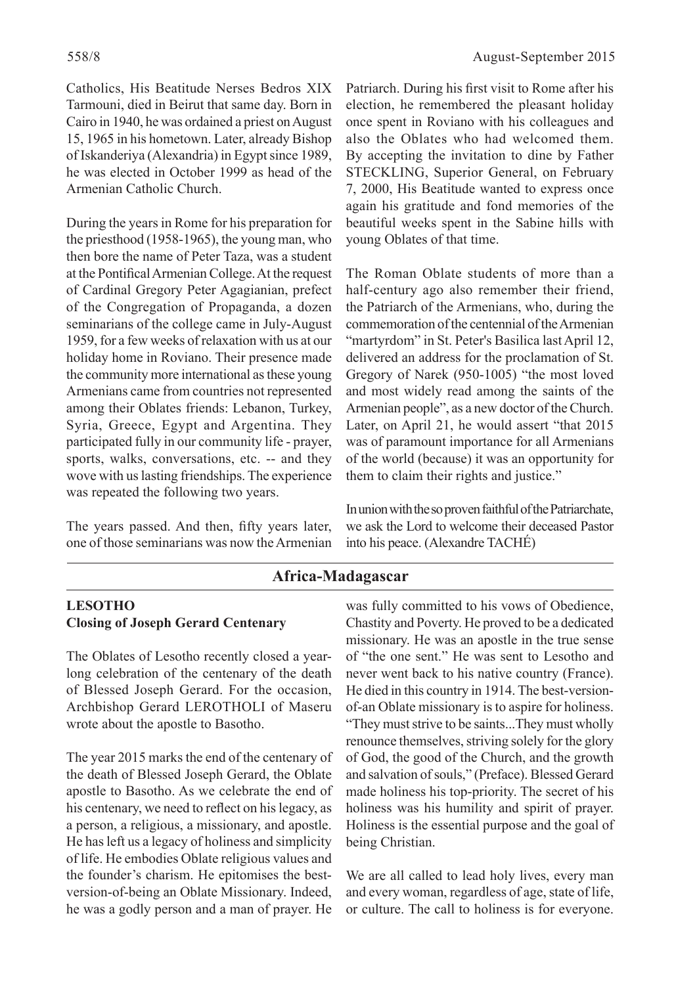Catholics, His Beatitude Nerses Bedros XIX Tarmouni, died in Beirut that same day. Born in Cairo in 1940, he was ordained a priest on August 15, 1965 in his hometown. Later, already Bishop of Iskanderiya (Alexandria) in Egypt since 1989, he was elected in October 1999 as head of the Armenian Catholic Church.

During the years in Rome for his preparation for the priesthood (1958-1965), the young man, who then bore the name of Peter Taza, was a student at the Pontifical Armenian College. At the request of Cardinal Gregory Peter Agagianian, prefect of the Congregation of Propaganda, a dozen seminarians of the college came in July-August 1959, for a few weeks of relaxation with us at our holiday home in Roviano. Their presence made the community more international as these young Armenians came from countries not represented among their Oblates friends: Lebanon, Turkey, Syria, Greece, Egypt and Argentina. They participated fully in our community life - prayer, sports, walks, conversations, etc. -- and they wove with us lasting friendships. The experience was repeated the following two years.

The years passed. And then, fifty years later, one of those seminarians was now the Armenian Patriarch. During his first visit to Rome after his election, he remembered the pleasant holiday once spent in Roviano with his colleagues and also the Oblates who had welcomed them. By accepting the invitation to dine by Father STECKLING, Superior General, on February 7, 2000, His Beatitude wanted to express once again his gratitude and fond memories of the beautiful weeks spent in the Sabine hills with young Oblates of that time.

The Roman Oblate students of more than a half-century ago also remember their friend, the Patriarch of the Armenians, who, during the commemoration of the centennial of the Armenian "martyrdom" in St. Peter's Basilica last April 12, delivered an address for the proclamation of St. Gregory of Narek (950-1005) "the most loved and most widely read among the saints of the Armenian people", as a new doctor of the Church. Later, on April 21, he would assert "that 2015 was of paramount importance for all Armenians of the world (because) it was an opportunity for them to claim their rights and justice."

In union with the so proven faithful of the Patriarchate, we ask the Lord to welcome their deceased Pastor into his peace. (Alexandre TACHÉ)

## **Africa-Madagascar**

## **LESOTHO Closing of Joseph Gerard Centenary**

The Oblates of Lesotho recently closed a yearlong celebration of the centenary of the death of Blessed Joseph Gerard. For the occasion, Archbishop Gerard LEROTHOLI of Maseru wrote about the apostle to Basotho.

The year 2015 marks the end of the centenary of the death of Blessed Joseph Gerard, the Oblate apostle to Basotho. As we celebrate the end of his centenary, we need to reflect on his legacy, as a person, a religious, a missionary, and apostle. He has left us a legacy of holiness and simplicity of life. He embodies Oblate religious values and the founder's charism. He epitomises the bestversion-of-being an Oblate Missionary. Indeed, he was a godly person and a man of prayer. He

was fully committed to his vows of Obedience, Chastity and Poverty. He proved to be a dedicated missionary. He was an apostle in the true sense of "the one sent." He was sent to Lesotho and never went back to his native country (France). He died in this country in 1914. The best-versionof-an Oblate missionary is to aspire for holiness. "They must strive to be saints...They must wholly renounce themselves, striving solely for the glory of God, the good of the Church, and the growth and salvation of souls," (Preface). Blessed Gerard made holiness his top-priority. The secret of his holiness was his humility and spirit of prayer. Holiness is the essential purpose and the goal of being Christian.

We are all called to lead holy lives, every man and every woman, regardless of age, state of life, or culture. The call to holiness is for everyone.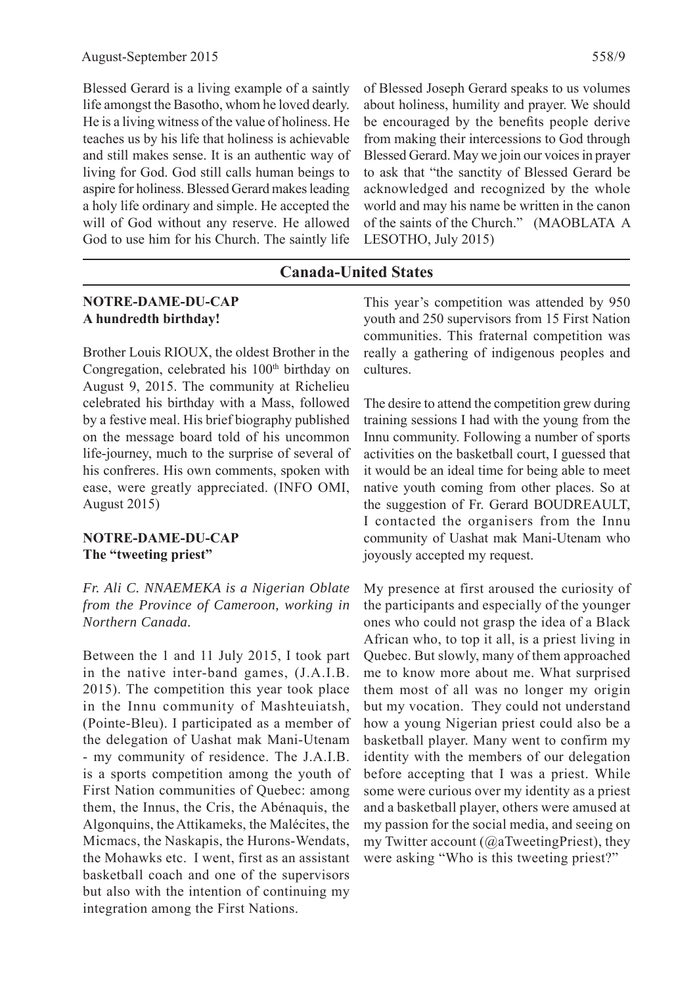Blessed Gerard is a living example of a saintly life amongst the Basotho, whom he loved dearly. He is a living witness of the value of holiness. He teaches us by his life that holiness is achievable and still makes sense. It is an authentic way of living for God. God still calls human beings to aspire for holiness. Blessed Gerard makes leading a holy life ordinary and simple. He accepted the will of God without any reserve. He allowed

God to use him for his Church. The saintly life

of Blessed Joseph Gerard speaks to us volumes about holiness, humility and prayer. We should be encouraged by the benefits people derive from making their intercessions to God through Blessed Gerard. May we join our voices in prayer to ask that "the sanctity of Blessed Gerard be acknowledged and recognized by the whole world and may his name be written in the canon of the saints of the Church." (MAOBLATA A LESOTHO, July 2015)

#### **Canada-United States**

#### **NOTRE-DAME-DU-CAP A hundredth birthday!**

Brother Louis RIOUX, the oldest Brother in the Congregation, celebrated his 100<sup>th</sup> birthday on August 9, 2015. The community at Richelieu celebrated his birthday with a Mass, followed by a festive meal. His brief biography published on the message board told of his uncommon life-journey, much to the surprise of several of his confreres. His own comments, spoken with ease, were greatly appreciated. (INFO OMI, August 2015)

#### **NOTRE-DAME-DU-CAP The "tweeting priest"**

*Fr. Ali C. NNAEMEKA is a Nigerian Oblate from the Province of Cameroon, working in Northern Canada.*

Between the 1 and 11 July 2015, I took part in the native inter-band games, (J.A.I.B. 2015). The competition this year took place in the Innu community of Mashteuiatsh, (Pointe-Bleu). I participated as a member of the delegation of Uashat mak Mani-Utenam - my community of residence. The J.A.I.B. is a sports competition among the youth of First Nation communities of Quebec: among them, the Innus, the Cris, the Abénaquis, the Algonquins, the Attikameks, the Malécites, the Micmacs, the Naskapis, the Hurons-Wendats, the Mohawks etc. I went, first as an assistant basketball coach and one of the supervisors but also with the intention of continuing my integration among the First Nations.

This year's competition was attended by 950 youth and 250 supervisors from 15 First Nation communities. This fraternal competition was really a gathering of indigenous peoples and cultures.

The desire to attend the competition grew during training sessions I had with the young from the Innu community. Following a number of sports activities on the basketball court, I guessed that it would be an ideal time for being able to meet native youth coming from other places. So at the suggestion of Fr. Gerard BOUDREAULT, I contacted the organisers from the Innu community of Uashat mak Mani-Utenam who joyously accepted my request.

My presence at first aroused the curiosity of the participants and especially of the younger ones who could not grasp the idea of a Black African who, to top it all, is a priest living in Quebec. But slowly, many of them approached me to know more about me. What surprised them most of all was no longer my origin but my vocation. They could not understand how a young Nigerian priest could also be a basketball player. Many went to confirm my identity with the members of our delegation before accepting that I was a priest. While some were curious over my identity as a priest and a basketball player, others were amused at my passion for the social media, and seeing on my Twitter account ( $@a$ TweetingPriest), they were asking "Who is this tweeting priest?"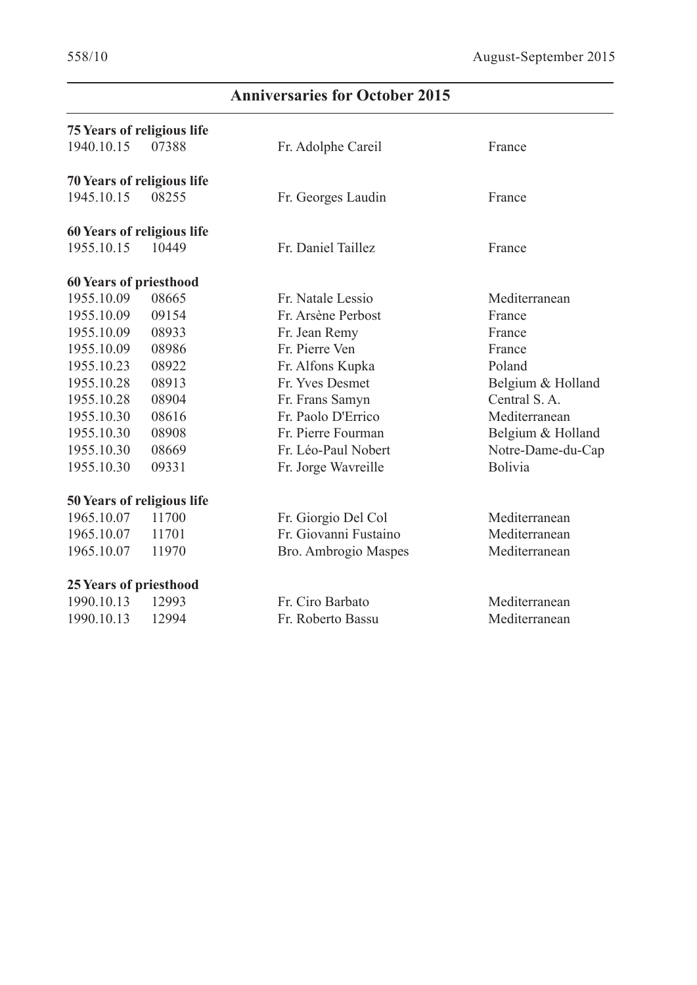$\overline{\phantom{a}}$ 

# **Anniversaries for October 2015**

| <b>75 Years of religious life</b> |                                                                 |                   |
|-----------------------------------|-----------------------------------------------------------------|-------------------|
| 1940.10.15<br>07388               | Fr. Adolphe Careil                                              | France            |
|                                   |                                                                 |                   |
| 08255                             | Fr. Georges Laudin                                              | France            |
|                                   |                                                                 |                   |
| 10449                             | Fr. Daniel Taillez                                              | France            |
| <b>60 Years of priesthood</b>     |                                                                 |                   |
| 08665                             | Fr. Natale Lessio                                               | Mediterranean     |
| 09154                             | Fr. Arsène Perbost                                              | France            |
| 08933                             | Fr. Jean Remy                                                   | France            |
| 08986                             | Fr. Pierre Ven                                                  | France            |
| 08922                             | Fr. Alfons Kupka                                                | Poland            |
| 08913                             | Fr. Yves Desmet                                                 | Belgium & Holland |
| 08904                             | Fr. Frans Samyn                                                 | Central S.A.      |
| 08616                             | Fr. Paolo D'Errico                                              | Mediterranean     |
| 08908                             | Fr. Pierre Fourman                                              | Belgium & Holland |
| 08669                             | Fr. Léo-Paul Nobert                                             | Notre-Dame-du-Cap |
| 09331                             | Fr. Jorge Wavreille                                             | Bolivia           |
| 50 Years of religious life        |                                                                 |                   |
| 11700                             | Fr. Giorgio Del Col                                             | Mediterranean     |
| 11701                             | Fr. Giovanni Fustaino                                           | Mediterranean     |
| 11970                             | Bro. Ambrogio Maspes                                            | Mediterranean     |
| <b>25 Years of priesthood</b>     |                                                                 |                   |
| 12993                             | Fr. Ciro Barbato                                                | Mediterranean     |
| 12994                             | Fr. Roberto Bassu                                               | Mediterranean     |
|                                   | <b>70 Years of religious life</b><br>60 Years of religious life |                   |